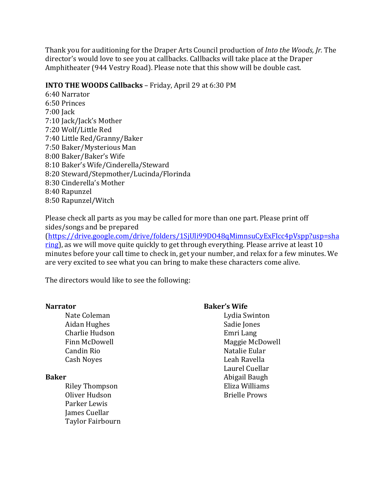Thank you for auditioning for the Draper Arts Council production of *Into the Woods, Jr.* The director's would love to see you at callbacks. Callbacks will take place at the Draper Amphitheater (944 Vestry Road). Please note that this show will be double cast.

## **INTO THE WOODS Callbacks** – Friday, April 29 at 6:30 PM

6:40 Narrator 6:50 Princes 7:00 **Jack** 7:10 Jack/Jack's Mother 7:20 Wolf/Little Red 7:40 Little Red/Granny/Baker 7:50 Baker/Mysterious Man 8:00 Baker/Baker's Wife 8:10 Baker's Wife/Cinderella/Steward 8:20 Steward/Stepmother/Lucinda/Florinda 8:30 Cinderella's Mother 8:40 Rapunzel 8:50 Rapunzel/Witch

Please check all parts as you may be called for more than one part. Please print off sides/songs and be prepared

(https://drive.google.com/drive/folders/1SjUli99DO48qMimnsuCyExFIcc4pVspp?usp=sha ring), as we will move quite quickly to get through everything. Please arrive at least 10 minutes before your call time to check in, get your number, and relax for a few minutes. We are very excited to see what you can bring to make these characters come alive.

The directors would like to see the following:

| <b>Narrator</b>         | <b>Baker's Wife</b>  |
|-------------------------|----------------------|
| Nate Coleman            | Lydia Swinton        |
| Aidan Hughes            | Sadie Jones          |
| Charlie Hudson          | Emri Lang            |
| Finn McDowell           | Maggie McDowell      |
| Candin Rio              | Natalie Eular        |
| Cash Noyes              | Leah Ravella         |
|                         | Laurel Cuellar       |
| <b>Baker</b>            | Abigail Baugh        |
| <b>Riley Thompson</b>   | Eliza Williams       |
| Oliver Hudson           | <b>Brielle Prows</b> |
| Parker Lewis            |                      |
| James Cuellar           |                      |
| <b>Taylor Fairbourn</b> |                      |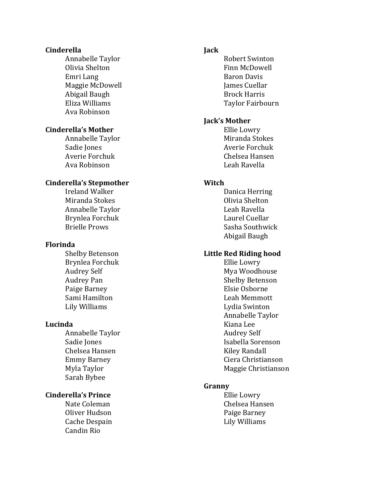#### **Cinderella**

 Annabelle Taylor Olivia Shelton Emri Lang Maggie McDowell Abigail Baugh Eliza Williams Ava Robinson

# **Cinderella's Mother**

 Annabelle Taylor Sadie Jones Averie Forchuk Ava Robinson

#### **Cinderella's Stepmother**

 Ireland Walker Miranda Stokes Annabelle Taylor Brynlea Forchuk Brielle Prows

#### **Florinda**

Shelby Betenson Brynlea Forchuk Audrey Self Audrey Pan Paige Barney Sami Hamilton Lily Williams

#### **Lucinda**

 Annabelle Taylor Sadie Jones Chelsea Hansen Emmy Barney Myla Taylor Sarah Bybee

## **Cinderella's Prince**

Nate Coleman Oliver Hudson Cache Despain Candin Rio

## **Jack**

 Robert Swinton Finn McDowell Baron Davis James Cuellar Brock Harris Taylor Fairbourn

## **Jack's Mother**

Ellie Lowry Miranda Stokes Averie Forchuk Chelsea Hansen Leah Ravella

#### **Witch**

 Danica Herring Olivia Shelton Leah Ravella Laurel Cuellar Sasha Southwick Abigail Baugh

# Little Red Riding hood

Ellie Lowry Mya Woodhouse Shelby Betenson Elsie Osborne Leah Memmott Lydia Swinton Annabelle Taylor Kiana Lee Audrey Self Isabella Sorenson Kiley Randall Ciera Christianson Maggie Christianson

## **Granny**

Ellie Lowry Chelsea Hansen Paige Barney Lily Williams